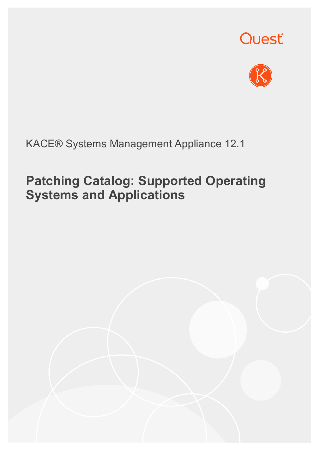



#### KACE® Systems Management Appliance 12.1

## **Patching Catalog: Supported Operating Systems and Applications**

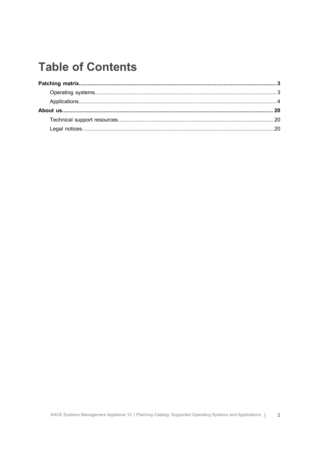### **Table of Contents**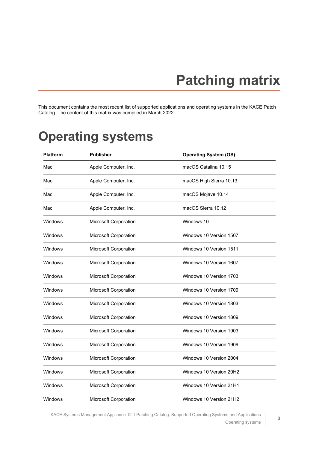# **Patching matrix**

<span id="page-2-0"></span>This document contains the most recent list of supported applications and operating systems in the KACE Patch Catalog. The content of this matrix was compiled in March 2022.

### <span id="page-2-1"></span>**Operating systems**

| <b>Platform</b> | <b>Publisher</b>      | <b>Operating System (OS)</b> |
|-----------------|-----------------------|------------------------------|
| Mac             | Apple Computer, Inc.  | macOS Catalina 10.15         |
| Mac             | Apple Computer, Inc.  | macOS High Sierra 10.13      |
| Mac             | Apple Computer, Inc.  | macOS Mojave 10.14           |
| Mac             | Apple Computer, Inc.  | macOS Sierra 10.12           |
| Windows         | Microsoft Corporation | Windows 10                   |
| Windows         | Microsoft Corporation | Windows 10 Version 1507      |
| Windows         | Microsoft Corporation | Windows 10 Version 1511      |
| Windows         | Microsoft Corporation | Windows 10 Version 1607      |
| Windows         | Microsoft Corporation | Windows 10 Version 1703      |
| Windows         | Microsoft Corporation | Windows 10 Version 1709      |
| Windows         | Microsoft Corporation | Windows 10 Version 1803      |
| Windows         | Microsoft Corporation | Windows 10 Version 1809      |
| Windows         | Microsoft Corporation | Windows 10 Version 1903      |
| Windows         | Microsoft Corporation | Windows 10 Version 1909      |
| Windows         | Microsoft Corporation | Windows 10 Version 2004      |
| Windows         | Microsoft Corporation | Windows 10 Version 20H2      |
| Windows         | Microsoft Corporation | Windows 10 Version 21H1      |
| Windows         | Microsoft Corporation | Windows 10 Version 21H2      |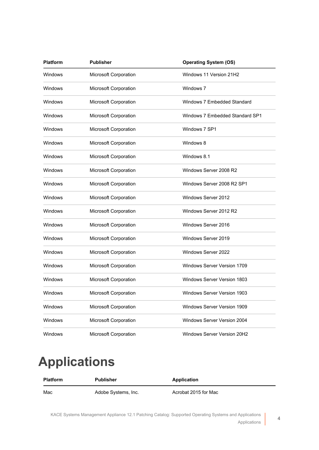| <b>Platform</b> | <b>Publisher</b>      | <b>Operating System (OS)</b>       |
|-----------------|-----------------------|------------------------------------|
| Windows         | Microsoft Corporation | Windows 11 Version 21H2            |
| Windows         | Microsoft Corporation | Windows 7                          |
| Windows         | Microsoft Corporation | Windows 7 Embedded Standard        |
| Windows         | Microsoft Corporation | Windows 7 Embedded Standard SP1    |
| Windows         | Microsoft Corporation | Windows 7 SP1                      |
| Windows         | Microsoft Corporation | Windows 8                          |
| Windows         | Microsoft Corporation | Windows 8.1                        |
| Windows         | Microsoft Corporation | Windows Server 2008 R2             |
| Windows         | Microsoft Corporation | Windows Server 2008 R2 SP1         |
| Windows         | Microsoft Corporation | Windows Server 2012                |
| Windows         | Microsoft Corporation | Windows Server 2012 R2             |
| Windows         | Microsoft Corporation | Windows Server 2016                |
| Windows         | Microsoft Corporation | Windows Server 2019                |
| Windows         | Microsoft Corporation | Windows Server 2022                |
| Windows         | Microsoft Corporation | Windows Server Version 1709        |
| Windows         | Microsoft Corporation | <b>Windows Server Version 1803</b> |
| Windows         | Microsoft Corporation | <b>Windows Server Version 1903</b> |
| Windows         | Microsoft Corporation | <b>Windows Server Version 1909</b> |
| Windows         | Microsoft Corporation | <b>Windows Server Version 2004</b> |
| Windows         | Microsoft Corporation | Windows Server Version 20H2        |

## <span id="page-3-0"></span>**Applications**

| <b>Platform</b> | Publisher           | Application          |
|-----------------|---------------------|----------------------|
| Mac             | Adobe Systems, Inc. | Acrobat 2015 for Mac |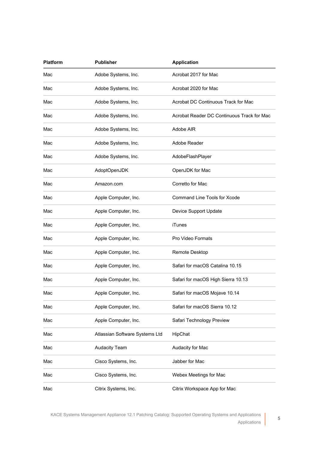| <b>Platform</b> | <b>Publisher</b>               | <b>Application</b>                         |
|-----------------|--------------------------------|--------------------------------------------|
| Mac             | Adobe Systems, Inc.            | Acrobat 2017 for Mac                       |
| Mac             | Adobe Systems, Inc.            | Acrobat 2020 for Mac                       |
| Mac             | Adobe Systems, Inc.            | Acrobat DC Continuous Track for Mac        |
| Mac             | Adobe Systems, Inc.            | Acrobat Reader DC Continuous Track for Mac |
| Mac             | Adobe Systems, Inc.            | Adobe AIR                                  |
| Mac             | Adobe Systems, Inc.            | Adobe Reader                               |
| Mac             | Adobe Systems, Inc.            | AdobeFlashPlayer                           |
| Mac             | AdoptOpenJDK                   | OpenJDK for Mac                            |
| Mac             | Amazon.com                     | Corretto for Mac                           |
| Mac             | Apple Computer, Inc.           | Command Line Tools for Xcode               |
| Mac             | Apple Computer, Inc.           | Device Support Update                      |
| Mac             | Apple Computer, Inc.           | iTunes                                     |
| Mac             | Apple Computer, Inc.           | Pro Video Formats                          |
| Mac             | Apple Computer, Inc.           | Remote Desktop                             |
| Mac             | Apple Computer, Inc.           | Safari for macOS Catalina 10.15            |
| Mac             | Apple Computer, Inc.           | Safari for macOS High Sierra 10.13         |
| Mac             | Apple Computer, Inc.           | Safari for macOS Mojave 10.14              |
| Mac             | Apple Computer, Inc.           | Safari for macOS Sierra 10.12              |
| Mac             | Apple Computer, Inc.           | Safari Technology Preview                  |
| Mac             | Atlassian Software Systems Ltd | HipChat                                    |
| Mac             | <b>Audacity Team</b>           | Audacity for Mac                           |
| Mac             | Cisco Systems, Inc.            | Jabber for Mac                             |
| Mac             | Cisco Systems, Inc.            | Webex Meetings for Mac                     |
| Mac             | Citrix Systems, Inc.           | Citrix Workspace App for Mac               |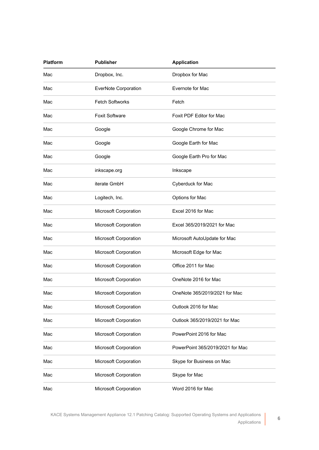| Platform | <b>Publisher</b>       | <b>Application</b>               |
|----------|------------------------|----------------------------------|
| Mac      | Dropbox, Inc.          | Dropbox for Mac                  |
| Mac      | EverNote Corporation   | Evernote for Mac                 |
| Mac      | <b>Fetch Softworks</b> | Fetch                            |
| Mac      | <b>Foxit Software</b>  | Foxit PDF Editor for Mac         |
| Mac      | Google                 | Google Chrome for Mac            |
| Mac      | Google                 | Google Earth for Mac             |
| Mac      | Google                 | Google Earth Pro for Mac         |
| Mac      | inkscape.org           | Inkscape                         |
| Mac      | iterate GmbH           | Cyberduck for Mac                |
| Mac      | Logitech, Inc.         | Options for Mac                  |
| Mac      | Microsoft Corporation  | Excel 2016 for Mac               |
| Mac      | Microsoft Corporation  | Excel 365/2019/2021 for Mac      |
| Mac      | Microsoft Corporation  | Microsoft AutoUpdate for Mac     |
| Mac      | Microsoft Corporation  | Microsoft Edge for Mac           |
| Mac      | Microsoft Corporation  | Office 2011 for Mac              |
| Mac      | Microsoft Corporation  | OneNote 2016 for Mac             |
| Mac      | Microsoft Corporation  | OneNote 365/2019/2021 for Mac    |
| Mac      | Microsoft Corporation  | Outlook 2016 for Mac             |
| Mac      | Microsoft Corporation  | Outlook 365/2019/2021 for Mac    |
| Mac      | Microsoft Corporation  | PowerPoint 2016 for Mac          |
| Mac      | Microsoft Corporation  | PowerPoint 365/2019/2021 for Mac |
| Mac      | Microsoft Corporation  | Skype for Business on Mac        |
| Mac      | Microsoft Corporation  | Skype for Mac                    |
| Mac      | Microsoft Corporation  | Word 2016 for Mac                |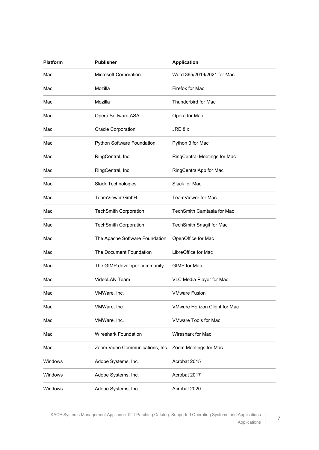| <b>Platform</b> | <b>Publisher</b>                | <b>Application</b>                   |
|-----------------|---------------------------------|--------------------------------------|
| Mac             | Microsoft Corporation           | Word 365/2019/2021 for Mac           |
| Mac             | Mozilla                         | Firefox for Mac                      |
| Mac             | Mozilla                         | Thunderbird for Mac                  |
| Mac             | Opera Software ASA              | Opera for Mac                        |
| Mac             | Oracle Corporation              | JRE 8.x                              |
| Mac             | Python Software Foundation      | Python 3 for Mac                     |
| Mac             | RingCentral, Inc.               | RingCentral Meetings for Mac         |
| Mac             | RingCentral, Inc.               | RingCentralApp for Mac               |
| Mac             | Slack Technologies              | Slack for Mac                        |
| Mac             | TeamViewer GmbH                 | TeamViewer for Mac                   |
| Mac             | <b>TechSmith Corporation</b>    | TechSmith Camtasia for Mac           |
| Mac             | <b>TechSmith Corporation</b>    | TechSmith Snagit for Mac             |
| Mac             | The Apache Software Foundation  | OpenOffice for Mac                   |
| Mac             | The Document Foundation         | LibreOffice for Mac                  |
| Mac             | The GIMP developer community    | GIMP for Mac                         |
| Mac             | <b>VideoLAN Team</b>            | VLC Media Player for Mac             |
| Mac             | VMWare, Inc.                    | <b>VMware Fusion</b>                 |
| Mac             | VMWare, Inc.                    | <b>VMware Horizon Client for Mac</b> |
| Mac             | VMWare, Inc.                    | <b>VMware Tools for Mac</b>          |
| Mac             | Wireshark Foundation            | Wireshark for Mac                    |
| Mac             | Zoom Video Communications, Inc. | Zoom Meetings for Mac                |
| Windows         | Adobe Systems, Inc.             | Acrobat 2015                         |
| Windows         | Adobe Systems, Inc.             | Acrobat 2017                         |
| Windows         | Adobe Systems, Inc.             | Acrobat 2020                         |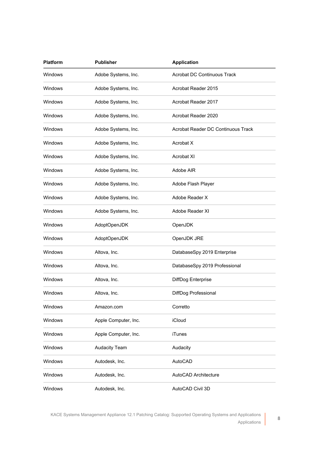| <b>Platform</b> | <b>Publisher</b>     | <b>Application</b>                 |
|-----------------|----------------------|------------------------------------|
| Windows         | Adobe Systems, Inc.  | <b>Acrobat DC Continuous Track</b> |
| Windows         | Adobe Systems, Inc.  | Acrobat Reader 2015                |
| Windows         | Adobe Systems, Inc.  | Acrobat Reader 2017                |
| Windows         | Adobe Systems, Inc.  | Acrobat Reader 2020                |
| Windows         | Adobe Systems, Inc.  | Acrobat Reader DC Continuous Track |
| Windows         | Adobe Systems, Inc.  | Acrobat X                          |
| Windows         | Adobe Systems, Inc.  | <b>Acrobat XI</b>                  |
| Windows         | Adobe Systems, Inc.  | Adobe AIR                          |
| Windows         | Adobe Systems, Inc.  | Adobe Flash Player                 |
| Windows         | Adobe Systems, Inc.  | Adobe Reader X                     |
| Windows         | Adobe Systems, Inc.  | Adobe Reader XI                    |
| Windows         | AdoptOpenJDK         | OpenJDK                            |
| Windows         | AdoptOpenJDK         | OpenJDK JRE                        |
| Windows         | Altova, Inc.         | DatabaseSpy 2019 Enterprise        |
| Windows         | Altova, Inc.         | DatabaseSpy 2019 Professional      |
| Windows         | Altova, Inc.         | DiffDog Enterprise                 |
| Windows         | Altova, Inc.         | DiffDog Professional               |
| Windows         | Amazon.com           | Corretto                           |
| Windows         | Apple Computer, Inc. | iCloud                             |
| Windows         | Apple Computer, Inc. | <b>iTunes</b>                      |
| Windows         | <b>Audacity Team</b> | Audacity                           |
| Windows         | Autodesk, Inc.       | AutoCAD                            |
| Windows         | Autodesk, Inc.       | AutoCAD Architecture               |
| Windows         | Autodesk, Inc.       | AutoCAD Civil 3D                   |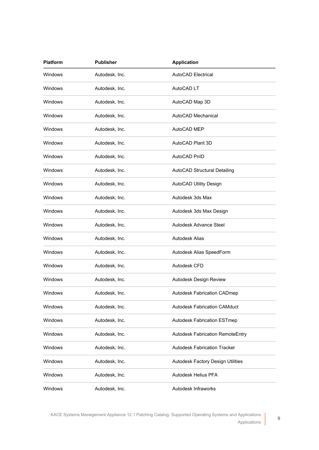| <b>Platform</b> | <b>Publisher</b> | <b>Application</b>                  |
|-----------------|------------------|-------------------------------------|
| Windows         | Autodesk, Inc.   | AutoCAD Electrical                  |
| Windows         | Autodesk, Inc.   | AutoCAD LT                          |
| Windows         | Autodesk, Inc.   | AutoCAD Map 3D                      |
| Windows         | Autodesk, Inc.   | AutoCAD Mechanical                  |
| Windows         | Autodesk, Inc.   | AutoCAD MEP                         |
| <b>Windows</b>  | Autodesk, Inc.   | AutoCAD Plant 3D                    |
| Windows         | Autodesk, Inc.   | AutoCAD PnID                        |
| Windows         | Autodesk, Inc.   | AutoCAD Structural Detailing        |
| Windows         | Autodesk, Inc.   | AutoCAD Utility Design              |
| Windows         | Autodesk, Inc.   | Autodesk 3ds Max                    |
| Windows         | Autodesk, Inc.   | Autodesk 3ds Max Design             |
| <b>Windows</b>  | Autodesk, Inc.   | Autodesk Advance Steel              |
| <b>Windows</b>  | Autodesk, Inc.   | Autodesk Alias                      |
| Windows         | Autodesk, Inc.   | Autodesk Alias SpeedForm            |
| <b>Windows</b>  | Autodesk, Inc.   | Autodesk CFD                        |
| <b>Windows</b>  | Autodesk, Inc.   | Autodesk Design Review              |
| Windows         | Autodesk, Inc.   | Autodesk Fabrication CADmep         |
| <b>Windows</b>  | Autodesk, Inc.   | <b>Autodesk Fabrication CAMduct</b> |
| Windows         | Autodesk, Inc.   | <b>Autodesk Fabrication ESTmep</b>  |
| Windows         | Autodesk, Inc.   | Autodesk Fabrication RemoteEntry    |
| Windows         | Autodesk, Inc.   | <b>Autodesk Fabrication Tracker</b> |
| Windows         | Autodesk, Inc.   | Autodesk Factory Design Utilities   |
| Windows         | Autodesk, Inc.   | Autodesk Helius PFA                 |
| Windows         | Autodesk, Inc.   | Autodesk Infraworks                 |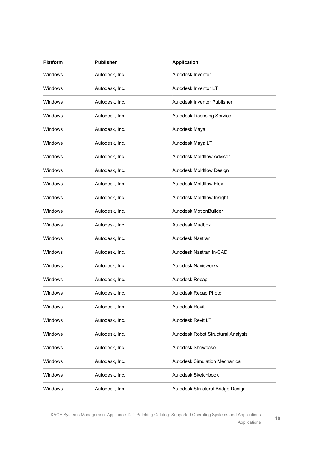| <b>Platform</b> | <b>Publisher</b> | <b>Application</b>                    |
|-----------------|------------------|---------------------------------------|
| Windows         | Autodesk, Inc.   | Autodesk Inventor                     |
| Windows         | Autodesk, Inc.   | Autodesk Inventor LT                  |
| Windows         | Autodesk, Inc.   | Autodesk Inventor Publisher           |
| Windows         | Autodesk, Inc.   | Autodesk Licensing Service            |
| <b>Windows</b>  | Autodesk, Inc.   | Autodesk Maya                         |
| Windows         | Autodesk, Inc.   | Autodesk Maya LT                      |
| <b>Windows</b>  | Autodesk, Inc.   | <b>Autodesk Moldflow Adviser</b>      |
| Windows         | Autodesk, Inc.   | Autodesk Moldflow Design              |
| <b>Windows</b>  | Autodesk, Inc.   | <b>Autodesk Moldflow Flex</b>         |
| Windows         | Autodesk, Inc.   | Autodesk Moldflow Insight             |
| Windows         | Autodesk, Inc.   | Autodesk MotionBuilder                |
| Windows         | Autodesk, Inc.   | Autodesk Mudbox                       |
| <b>Windows</b>  | Autodesk, Inc.   | Autodesk Nastran                      |
| Windows         | Autodesk, Inc.   | Autodesk Nastran In-CAD               |
| Windows         | Autodesk, Inc.   | <b>Autodesk Navisworks</b>            |
| Windows         | Autodesk, Inc.   | Autodesk Recap                        |
| Windows         | Autodesk, Inc.   | Autodesk Recap Photo                  |
| Windows         | Autodesk, Inc.   | Autodesk Revit                        |
| Windows         | Autodesk, Inc.   | Autodesk Revit LT                     |
| Windows         | Autodesk, Inc.   | Autodesk Robot Structural Analysis    |
| Windows         | Autodesk, Inc.   | Autodesk Showcase                     |
| Windows         | Autodesk, Inc.   | <b>Autodesk Simulation Mechanical</b> |
| Windows         | Autodesk, Inc.   | Autodesk Sketchbook                   |
| Windows         | Autodesk, Inc.   | Autodesk Structural Bridge Design     |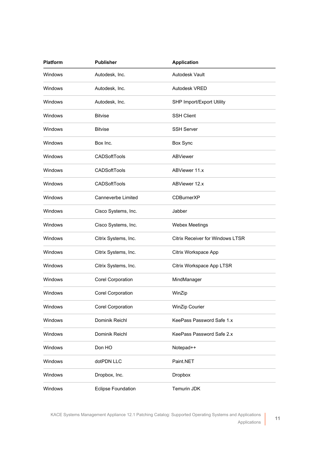| <b>Platform</b> | <b>Publisher</b>          | <b>Application</b>                      |
|-----------------|---------------------------|-----------------------------------------|
| Windows         | Autodesk, Inc.            | Autodesk Vault                          |
| <b>Windows</b>  | Autodesk, Inc.            | Autodesk VRED                           |
| Windows         | Autodesk, Inc.            | SHP Import/Export Utility               |
| Windows         | <b>Bitvise</b>            | <b>SSH Client</b>                       |
| Windows         | <b>Bitvise</b>            | <b>SSH Server</b>                       |
| <b>Windows</b>  | Box Inc.                  | Box Sync                                |
| Windows         | CADSoftTools              | <b>ABViewer</b>                         |
| Windows         | <b>CADSoftTools</b>       | ABViewer 11.x                           |
| Windows         | CADSoftTools              | ABViewer 12.x                           |
| Windows         | Canneverbe Limited        | <b>CDBurnerXP</b>                       |
| Windows         | Cisco Systems, Inc.       | Jabber                                  |
| <b>Windows</b>  | Cisco Systems, Inc.       | <b>Webex Meetings</b>                   |
| <b>Windows</b>  | Citrix Systems, Inc.      | <b>Citrix Receiver for Windows LTSR</b> |
| Windows         | Citrix Systems, Inc.      | Citrix Workspace App                    |
| <b>Windows</b>  | Citrix Systems, Inc.      | Citrix Workspace App LTSR               |
| Windows         | Corel Corporation         | MindManager                             |
| Windows         | <b>Corel Corporation</b>  | WinZip                                  |
| Windows         | Corel Corporation         | WinZip Courier                          |
| Windows         | Dominik Reichl            | KeePass Password Safe 1.x               |
| Windows         | Dominik Reichl            | KeePass Password Safe 2.x               |
| Windows         | Don HO                    | Notepad++                               |
| Windows         | dotPDN LLC                | Paint.NET                               |
| Windows         | Dropbox, Inc.             | Dropbox                                 |
| Windows         | <b>Eclipse Foundation</b> | Temurin JDK                             |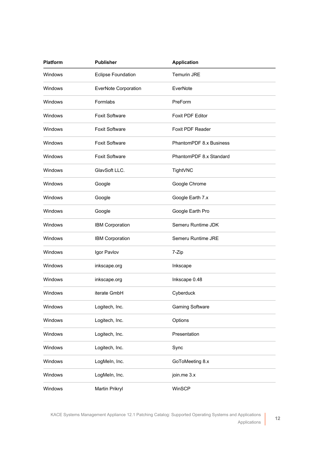| <b>Platform</b> | <b>Publisher</b>            | <b>Application</b>      |
|-----------------|-----------------------------|-------------------------|
| Windows         | <b>Eclipse Foundation</b>   | <b>Temurin JRE</b>      |
| Windows         | <b>EverNote Corporation</b> | EverNote                |
| Windows         | Formlabs                    | PreForm                 |
| Windows         | <b>Foxit Software</b>       | <b>Foxit PDF Editor</b> |
| Windows         | <b>Foxit Software</b>       | Foxit PDF Reader        |
| Windows         | <b>Foxit Software</b>       | PhantomPDF 8.x Business |
| Windows         | <b>Foxit Software</b>       | PhantomPDF 8.x Standard |
| Windows         | GlavSoft LLC.               | TightVNC                |
| Windows         | Google                      | Google Chrome           |
| Windows         | Google                      | Google Earth 7.x        |
| Windows         | Google                      | Google Earth Pro        |
| Windows         | IBM Corporation             | Semeru Runtime JDK      |
| Windows         | IBM Corporation             | Semeru Runtime JRE      |
| Windows         | Igor Pavlov                 | 7-Zip                   |
| Windows         | inkscape.org                | Inkscape                |
| Windows         | inkscape.org                | Inkscape 0.48           |
| Windows         | iterate GmbH                | Cyberduck               |
| Windows         | Logitech, Inc.              | <b>Gaming Software</b>  |
| Windows         | Logitech, Inc.              | Options                 |
| Windows         | Logitech, Inc.              | Presentation            |
| Windows         | Logitech, Inc.              | Sync                    |
| Windows         | LogMeln, Inc.               | GoToMeeting 8.x         |
| Windows         | LogMeln, Inc.               | join.me 3.x             |
| Windows         | Martin Prikryl              | WinSCP                  |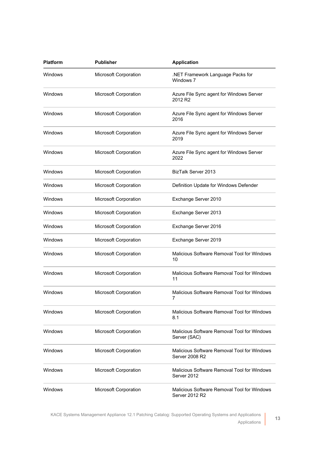| <b>Platform</b> | <b>Publisher</b>      | <b>Application</b>                                                   |
|-----------------|-----------------------|----------------------------------------------------------------------|
| Windows         | Microsoft Corporation | .NET Framework Language Packs for<br>Windows 7                       |
| Windows         | Microsoft Corporation | Azure File Sync agent for Windows Server<br>2012 R2                  |
| Windows         | Microsoft Corporation | Azure File Sync agent for Windows Server<br>2016                     |
| Windows         | Microsoft Corporation | Azure File Sync agent for Windows Server<br>2019                     |
| Windows         | Microsoft Corporation | Azure File Sync agent for Windows Server<br>2022                     |
| Windows         | Microsoft Corporation | BizTalk Server 2013                                                  |
| Windows         | Microsoft Corporation | Definition Update for Windows Defender                               |
| Windows         | Microsoft Corporation | Exchange Server 2010                                                 |
| Windows         | Microsoft Corporation | Exchange Server 2013                                                 |
| Windows         | Microsoft Corporation | Exchange Server 2016                                                 |
| Windows         | Microsoft Corporation | Exchange Server 2019                                                 |
| Windows         | Microsoft Corporation | Malicious Software Removal Tool for Windows<br>10                    |
| Windows         | Microsoft Corporation | Malicious Software Removal Tool for Windows<br>11                    |
| Windows         | Microsoft Corporation | Malicious Software Removal Tool for Windows                          |
| Windows         | Microsoft Corporation | Malicious Software Removal Tool for Windows<br>8.1                   |
| Windows         | Microsoft Corporation | Malicious Software Removal Tool for Windows<br>Server (SAC)          |
| Windows         | Microsoft Corporation | Malicious Software Removal Tool for Windows<br><b>Server 2008 R2</b> |
| Windows         | Microsoft Corporation | Malicious Software Removal Tool for Windows<br>Server 2012           |
| Windows         | Microsoft Corporation | Malicious Software Removal Tool for Windows<br>Server 2012 R2        |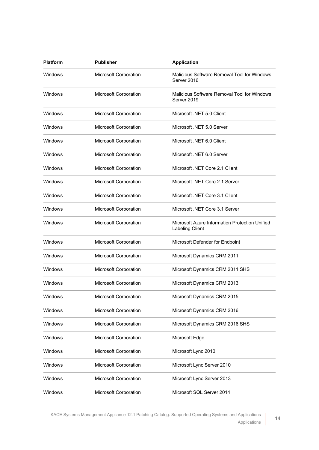| <b>Platform</b> | <b>Publisher</b>             | <b>Application</b>                                                       |
|-----------------|------------------------------|--------------------------------------------------------------------------|
| Windows         | Microsoft Corporation        | Malicious Software Removal Tool for Windows<br>Server 2016               |
| Windows         | Microsoft Corporation        | Malicious Software Removal Tool for Windows<br>Server 2019               |
| Windows         | Microsoft Corporation        | Microsoft .NET 5.0 Client                                                |
| Windows         | <b>Microsoft Corporation</b> | Microsoft .NET 5.0 Server                                                |
| Windows         | Microsoft Corporation        | Microsoft .NET 6.0 Client                                                |
| Windows         | Microsoft Corporation        | Microsoft .NET 6.0 Server                                                |
| Windows         | <b>Microsoft Corporation</b> | Microsoft .NET Core 2.1 Client                                           |
| Windows         | Microsoft Corporation        | Microsoft .NET Core 2.1 Server                                           |
| Windows         | Microsoft Corporation        | Microsoft .NET Core 3.1 Client                                           |
| Windows         | <b>Microsoft Corporation</b> | Microsoft .NET Core 3.1 Server                                           |
| Windows         | Microsoft Corporation        | Microsoft Azure Information Protection Unified<br><b>Labeling Client</b> |
| Windows         | Microsoft Corporation        | Microsoft Defender for Endpoint                                          |
| Windows         | Microsoft Corporation        | Microsoft Dynamics CRM 2011                                              |
| Windows         | Microsoft Corporation        | Microsoft Dynamics CRM 2011 SHS                                          |
| Windows         | Microsoft Corporation        | Microsoft Dynamics CRM 2013                                              |
| Windows         | Microsoft Corporation        | Microsoft Dynamics CRM 2015                                              |
| Windows         | Microsoft Corporation        | Microsoft Dynamics CRM 2016                                              |
| Windows         | Microsoft Corporation        | Microsoft Dynamics CRM 2016 SHS                                          |
| Windows         | Microsoft Corporation        | Microsoft Edge                                                           |
| Windows         | Microsoft Corporation        | Microsoft Lync 2010                                                      |
| Windows         | Microsoft Corporation        | Microsoft Lync Server 2010                                               |
| Windows         | Microsoft Corporation        | Microsoft Lync Server 2013                                               |
| Windows         | Microsoft Corporation        | Microsoft SQL Server 2014                                                |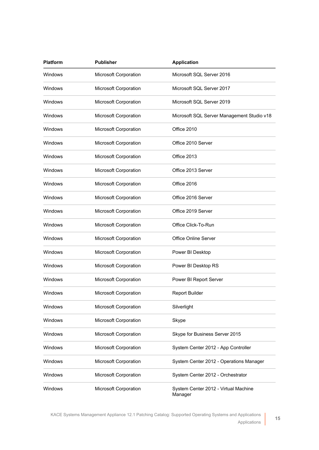| <b>Platform</b> | <b>Publisher</b>      | <b>Application</b>                              |
|-----------------|-----------------------|-------------------------------------------------|
| Windows         | Microsoft Corporation | Microsoft SQL Server 2016                       |
| Windows         | Microsoft Corporation | Microsoft SQL Server 2017                       |
| Windows         | Microsoft Corporation | Microsoft SQL Server 2019                       |
| Windows         | Microsoft Corporation | Microsoft SQL Server Management Studio v18      |
| Windows         | Microsoft Corporation | Office 2010                                     |
| Windows         | Microsoft Corporation | Office 2010 Server                              |
| Windows         | Microsoft Corporation | Office 2013                                     |
| Windows         | Microsoft Corporation | Office 2013 Server                              |
| Windows         | Microsoft Corporation | Office 2016                                     |
| Windows         | Microsoft Corporation | Office 2016 Server                              |
| Windows         | Microsoft Corporation | Office 2019 Server                              |
| Windows         | Microsoft Corporation | Office Click-To-Run                             |
| Windows         | Microsoft Corporation | <b>Office Online Server</b>                     |
| Windows         | Microsoft Corporation | Power BI Desktop                                |
| Windows         | Microsoft Corporation | Power BI Desktop RS                             |
| Windows         | Microsoft Corporation | Power BI Report Server                          |
| Windows         | Microsoft Corporation | <b>Report Builder</b>                           |
| <b>Windows</b>  | Microsoft Corporation | Silverlight                                     |
| Windows         | Microsoft Corporation | Skype                                           |
| Windows         | Microsoft Corporation | Skype for Business Server 2015                  |
| Windows         | Microsoft Corporation | System Center 2012 - App Controller             |
| Windows         | Microsoft Corporation | System Center 2012 - Operations Manager         |
| Windows         | Microsoft Corporation | System Center 2012 - Orchestrator               |
| Windows         | Microsoft Corporation | System Center 2012 - Virtual Machine<br>Manager |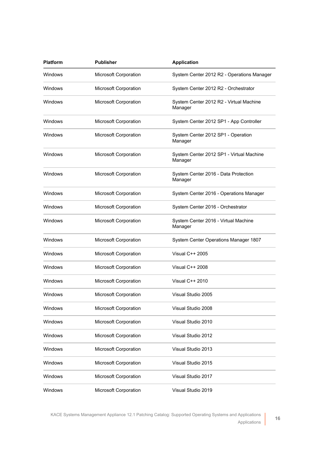| <b>Platform</b> | <b>Publisher</b>      | <b>Application</b>                                  |
|-----------------|-----------------------|-----------------------------------------------------|
| Windows         | Microsoft Corporation | System Center 2012 R2 - Operations Manager          |
| Windows         | Microsoft Corporation | System Center 2012 R2 - Orchestrator                |
| Windows         | Microsoft Corporation | System Center 2012 R2 - Virtual Machine<br>Manager  |
| Windows         | Microsoft Corporation | System Center 2012 SP1 - App Controller             |
| Windows         | Microsoft Corporation | System Center 2012 SP1 - Operation<br>Manager       |
| Windows         | Microsoft Corporation | System Center 2012 SP1 - Virtual Machine<br>Manager |
| Windows         | Microsoft Corporation | System Center 2016 - Data Protection<br>Manager     |
| Windows         | Microsoft Corporation | System Center 2016 - Operations Manager             |
| Windows         | Microsoft Corporation | System Center 2016 - Orchestrator                   |
| Windows         | Microsoft Corporation | System Center 2016 - Virtual Machine<br>Manager     |
| Windows         | Microsoft Corporation | System Center Operations Manager 1807               |
| Windows         | Microsoft Corporation | Visual C++ 2005                                     |
| Windows         | Microsoft Corporation | Visual C++ 2008                                     |
| Windows         | Microsoft Corporation | Visual C++ 2010                                     |
| Windows         | Microsoft Corporation | Visual Studio 2005                                  |
| Windows         | Microsoft Corporation | Visual Studio 2008                                  |
| Windows         | Microsoft Corporation | Visual Studio 2010                                  |
| Windows         | Microsoft Corporation | Visual Studio 2012                                  |
| Windows         | Microsoft Corporation | Visual Studio 2013                                  |
| Windows         | Microsoft Corporation | Visual Studio 2015                                  |
| Windows         | Microsoft Corporation | Visual Studio 2017                                  |
| Windows         | Microsoft Corporation | Visual Studio 2019                                  |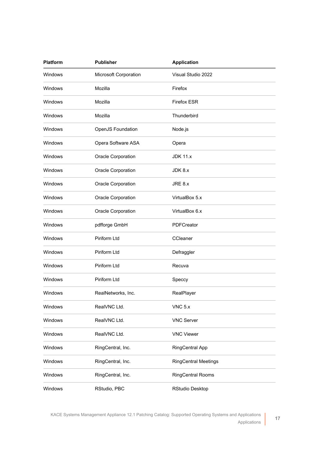| <b>Platform</b> | <b>Publisher</b>      | <b>Application</b>          |  |
|-----------------|-----------------------|-----------------------------|--|
| Windows         | Microsoft Corporation | Visual Studio 2022          |  |
| <b>Windows</b>  | Mozilla               | Firefox                     |  |
| <b>Windows</b>  | Mozilla               | <b>Firefox ESR</b>          |  |
| Windows         | Mozilla               | Thunderbird                 |  |
| <b>Windows</b>  | OpenJS Foundation     | Node.js                     |  |
| <b>Windows</b>  | Opera Software ASA    | Opera                       |  |
| <b>Windows</b>  | Oracle Corporation    | <b>JDK 11.x</b>             |  |
| Windows         | Oracle Corporation    | JDK 8.x                     |  |
| Windows         | Oracle Corporation    | JRE 8.x                     |  |
| Windows         | Oracle Corporation    | VirtualBox 5.x              |  |
| Windows         | Oracle Corporation    | VirtualBox 6.x              |  |
| Windows         | pdfforge GmbH         | PDFCreator                  |  |
| <b>Windows</b>  | Piriform Ltd          | CCleaner                    |  |
| Windows         | Piriform Ltd          | Defraggler                  |  |
| Windows         | Piriform Ltd          | Recuva                      |  |
| Windows         | Piriform Ltd          | Speccy                      |  |
| Windows         | RealNetworks, Inc.    | RealPlayer                  |  |
| Windows         | RealVNC Ltd.          | $VNC$ 5. $x$                |  |
| Windows         | RealVNC Ltd.          | <b>VNC Server</b>           |  |
| Windows         | RealVNC Ltd.          | <b>VNC Viewer</b>           |  |
| Windows         | RingCentral, Inc.     | <b>RingCentral App</b>      |  |
| Windows         | RingCentral, Inc.     | <b>RingCentral Meetings</b> |  |
| Windows         | RingCentral, Inc.     | <b>RingCentral Rooms</b>    |  |
| Windows         | RStudio, PBC          | <b>RStudio Desktop</b>      |  |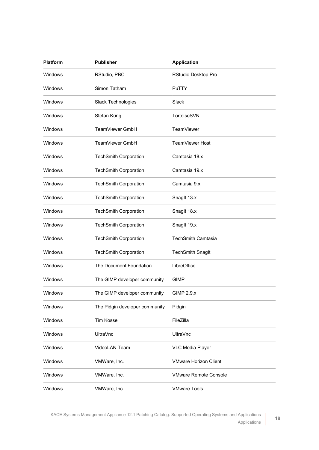| <b>Platform</b> | <b>Publisher</b>               | <b>Application</b>           |
|-----------------|--------------------------------|------------------------------|
| Windows         | RStudio, PBC                   | RStudio Desktop Pro          |
| <b>Windows</b>  | Simon Tatham                   | PuTTY                        |
| Windows         | Slack Technologies             | Slack                        |
| Windows         | Stefan Küng                    | TortoiseSVN                  |
| <b>Windows</b>  | TeamViewer GmbH                | TeamViewer                   |
| <b>Windows</b>  | TeamViewer GmbH                | TeamViewer Host              |
| <b>Windows</b>  | <b>TechSmith Corporation</b>   | Camtasia 18.x                |
| Windows         | <b>TechSmith Corporation</b>   | Camtasia 19.x                |
| Windows         | <b>TechSmith Corporation</b>   | Camtasia 9.x                 |
| Windows         | <b>TechSmith Corporation</b>   | Snaglt 13.x                  |
| Windows         | <b>TechSmith Corporation</b>   | Snaglt 18.x                  |
| Windows         | <b>TechSmith Corporation</b>   | Snaglt 19.x                  |
| <b>Windows</b>  | <b>TechSmith Corporation</b>   | <b>TechSmith Camtasia</b>    |
| Windows         | <b>TechSmith Corporation</b>   | <b>TechSmith Snaglt</b>      |
| Windows         | The Document Foundation        | LibreOffice                  |
| Windows         | The GIMP developer community   | <b>GIMP</b>                  |
| Windows         | The GIMP developer community   | <b>GIMP 2.9.x</b>            |
| Windows         | The Pidgin developer community | Pidgin                       |
| Windows         | <b>Tim Kosse</b>               | FileZilla                    |
| Windows         | <b>UltraVnc</b>                | <b>UltraVnc</b>              |
| Windows         | VideoLAN Team                  | <b>VLC Media Player</b>      |
| Windows         | VMWare, Inc.                   | <b>VMware Horizon Client</b> |
| Windows         | VMWare, Inc.                   | <b>VMware Remote Console</b> |
| Windows         | VMWare, Inc.                   | <b>VMware Tools</b>          |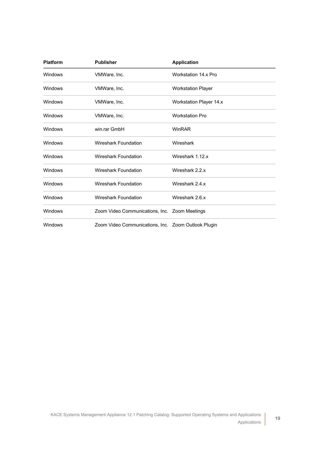| <b>Platform</b> | <b>Publisher</b>                                    | <b>Application</b>             |
|-----------------|-----------------------------------------------------|--------------------------------|
| Windows         | VMWare, Inc.                                        | Workstation 14.x Pro           |
| Windows         | VMWare, Inc.                                        | <b>Workstation Player</b>      |
| Windows         | VMWare, Inc.                                        | <b>Workstation Player 14.x</b> |
| Windows         | VMWare, Inc.                                        | <b>Workstation Pro</b>         |
| Windows         | win.rar GmbH                                        | WinRAR                         |
| Windows         | Wireshark Foundation                                | Wireshark                      |
| Windows         | Wireshark Foundation                                | Wireshark 1.12.x               |
| Windows         | <b>Wireshark Foundation</b>                         | Wireshark 2.2.x                |
| Windows         | <b>Wireshark Foundation</b>                         | Wireshark 2.4.x                |
| Windows         | Wireshark Foundation                                | Wireshark 2.6.x                |
| Windows         | Zoom Video Communications, Inc. Zoom Meetings       |                                |
| Windows         | Zoom Video Communications, Inc. Zoom Outlook Plugin |                                |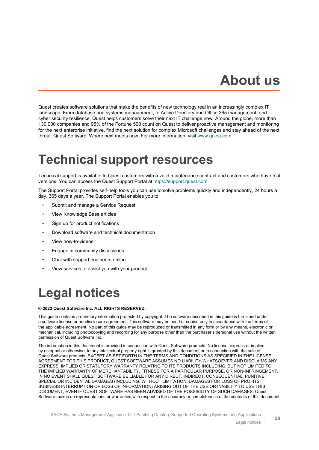## **About us**

<span id="page-19-0"></span>Quest creates software solutions that make the benefits of new technology real in an increasingly complex IT landscape. From database and systems management, to Active Directory and Office 365 management, and cyber security resilience, Quest helps customers solve their next IT challenge now. Around the globe, more than 130,000 companies and 95% of the Fortune 500 count on Quest to deliver proactive management and monitoring for the next enterprise initiative, find the next solution for complex Microsoft challenges and stay ahead of the next threat. Quest Software. Where next meets now. For more information, visit [www.quest.com.](https://www.quest.com/company/contact-us.aspx)

### <span id="page-19-1"></span>**Technical support resources**

Technical support is available to Quest customers with a valid maintenance contract and customers who have trial versions. You can access the Quest Support Portal at [https://support.quest.com.](https://support.quest.com/)

The Support Portal provides self-help tools you can use to solve problems quickly and independently, 24 hours a day, 365 days a year. The Support Portal enables you to:

- Submit and manage a Service Request
- View Knowledge Base articles
- Sign up for product notifications
- Download software and technical documentation
- View how-to-videos
- Engage in community discussions
- Chat with support engineers online
- View services to assist you with your product.

## <span id="page-19-2"></span>**Legal notices**

#### **© 2022 Quest Software Inc. ALL RIGHTS RESERVED.**

This guide contains proprietary information protected by copyright. The software described in this guide is furnished under a software license or nondisclosure agreement. This software may be used or copied only in accordance with the terms of the applicable agreement. No part of this guide may be reproduced or transmitted in any form or by any means, electronic or mechanical, including photocopying and recording for any purpose other than the purchaser's personal use without the written permission of Quest Software Inc.

The information in this document is provided in connection with Quest Software products. No license, express or implied, by estoppel or otherwise, to any intellectual property right is granted by this document or in connection with the sale of Quest Software products. EXCEPT AS SET FORTH IN THE TERMS AND CONDITIONS AS SPECIFIED IN THE LICENSE AGREEMENT FOR THIS PRODUCT, QUEST SOFTWARE ASSUMES NO LIABILITY WHATSOEVER AND DISCLAIMS ANY EXPRESS, IMPLIED OR STATUTORY WARRANTY RELATING TO ITS PRODUCTS INCLUDING, BUT NOT LIMITED TO, THE IMPLIED WARRANTY OF MERCHANTABILITY, FITNESS FOR A PARTICULAR PURPOSE, OR NON-INFRINGEMENT. IN NO EVENT SHALL QUEST SOFTWARE BE LIABLE FOR ANY DIRECT, INDIRECT, CONSEQUENTIAL, PUNITIVE, SPECIAL OR INCIDENTAL DAMAGES (INCLUDING, WITHOUT LIMITATION, DAMAGES FOR LOSS OF PROFITS, BUSINESS INTERRUPTION OR LOSS OF INFORMATION) ARISING OUT OF THE USE OR INABILITY TO USE THIS DOCUMENT, EVEN IF QUEST SOFTWARE HAS BEEN ADVISED OF THE POSSIBILITY OF SUCH DAMAGES. Quest Software makes no representations or warranties with respect to the accuracy or completeness of the contents of this document